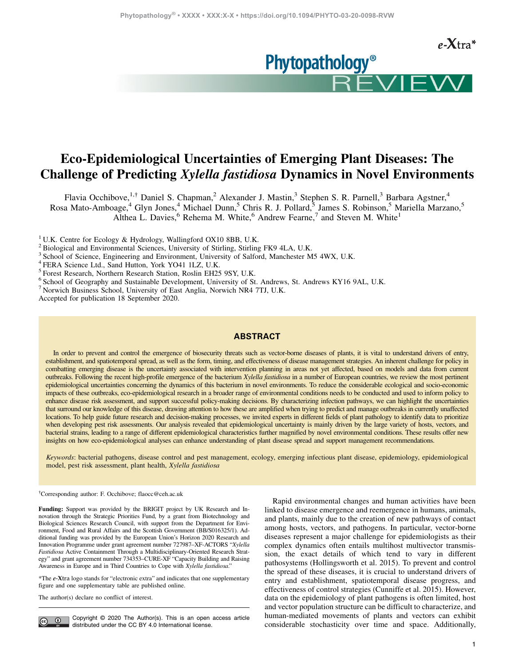**Phytopathology<sup>®</sup>** 



# Eco-Epidemiological Uncertainties of Emerging Plant Diseases: The Challenge of Predicting Xylella fastidiosa Dynamics in Novel Environments

Flavia Occhibove,<sup>1,†</sup> Daniel S. Chapman,<sup>2</sup> Alexander J. Mastin,<sup>3</sup> Stephen S. R. Parnell,<sup>3</sup> Barbara Agstner,<sup>4</sup>

Rosa Mato-Amboage,<sup>4</sup> Glyn Jones,<sup>4</sup> Michael Dunn,<sup>5</sup> Chris R. J. Pollard,<sup>5</sup> James S. Robinson,<sup>5</sup> Mariella Marzano,<sup>5</sup> Althea L. Davies,  $6$  Rehema M. White,  $6$  Andrew Fearne,  $7$  and Steven M. White<sup>1</sup>

<sup>1</sup> U.K. Centre for Ecology & Hydrology, Wallingford OX10 8BB, U.K.

<sup>2</sup> Biological and Environmental Sciences, University of Stirling, Stirling FK9 4LA, U.K.

<sup>3</sup> School of Science, Engineering and Environment, University of Salford, Manchester M5 4WX, U.K.

<sup>4</sup> FERA Science Ltd., Sand Hutton, York YO41 1LZ, U.K.

<sup>5</sup> Forest Research, Northern Research Station, Roslin EH25 9SY, U.K.

<sup>6</sup> School of Geography and Sustainable Development, University of St. Andrews, St. Andrews KY16 9AL, U.K.

<sup>7</sup> Norwich Business School, University of East Anglia, Norwich NR4 7TJ, U.K.

Accepted for publication 18 September 2020.

### ABSTRACT

In order to prevent and control the emergence of biosecurity threats such as vector-borne diseases of plants, it is vital to understand drivers of entry, establishment, and spatiotemporal spread, as well as the form, timing, and effectiveness of disease management strategies. An inherent challenge for policy in combatting emerging disease is the uncertainty associated with intervention planning in areas not yet affected, based on models and data from current outbreaks. Following the recent high-profile emergence of the bacterium Xylella fastidiosa in a number of European countries, we review the most pertinent epidemiological uncertainties concerning the dynamics of this bacterium in novel environments. To reduce the considerable ecological and socio-economic impacts of these outbreaks, eco-epidemiological research in a broader range of environmental conditions needs to be conducted and used to inform policy to enhance disease risk assessment, and support successful policy-making decisions. By characterizing infection pathways, we can highlight the uncertainties that surround our knowledge of this disease, drawing attention to how these are amplified when trying to predict and manage outbreaks in currently unaffected locations. To help guide future research and decision-making processes, we invited experts in different fields of plant pathology to identify data to prioritize when developing pest risk assessments. Our analysis revealed that epidemiological uncertainty is mainly driven by the large variety of hosts, vectors, and bacterial strains, leading to a range of different epidemiological characteristics further magnified by novel environmental conditions. These results offer new insights on how eco-epidemiological analyses can enhance understanding of plant disease spread and support management recommendations.

Keywords: bacterial pathogens, disease control and pest management, ecology, emerging infectious plant disease, epidemiology, epidemiological model, pest risk assessment, plant health, Xylella fastidiosa

† Corresponding author: F. Occhibove; [flaocc@ceh.ac.uk](mailto:flaocc@ceh.ac.uk)

Funding: Support was provided by the BRIGIT project by UK Research and Innovation through the Strategic Priorities Fund, by a grant from Biotechnology and Biological Sciences Research Council, with support from the Department for Environment, Food and Rural Affairs and the Scottish Government (BB/S016325/1). Additional funding was provided by the European Union's Horizon 2020 Research and Innovation Programme under grant agreement number 727987–XF-ACTORS "Xylella Fastidiosa Active Containment Through a Multidisciplinary-Oriented Research Strategy" and grant agreement number 734353–CURE-XF "Capacity Building and Raising Awareness in Europe and in Third Countries to Cope with Xylella fastidiosa."

\*The e-Xtra logo stands for "electronic extra" and indicates that one supplementary figure and one supplementary table are published online.

The author(s) declare no conflict of interest.

 $\odot$ 

Copyright © 2020 The Author(s). This is an open access article distributed under the [CC BY 4.0 International license.](http://creativecommons.org/licenses/by/4.0/)

Rapid environmental changes and human activities have been linked to disease emergence and reemergence in humans, animals, and plants, mainly due to the creation of new pathways of contact among hosts, vectors, and pathogens. In particular, vector-borne diseases represent a major challenge for epidemiologists as their complex dynamics often entails multihost multivector transmission, the exact details of which tend to vary in different pathosystems ([Hollingsworth et al. 2015](#page-9-0)). To prevent and control the spread of these diseases, it is crucial to understand drivers of entry and establishment, spatiotemporal disease progress, and effectiveness of control strategies ([Cunniffe et al. 2015\)](#page-8-0). However, data on the epidemiology of plant pathogens is often limited, host and vector population structure can be difficult to characterize, and human-mediated movements of plants and vectors can exhibit considerable stochasticity over time and space. Additionally,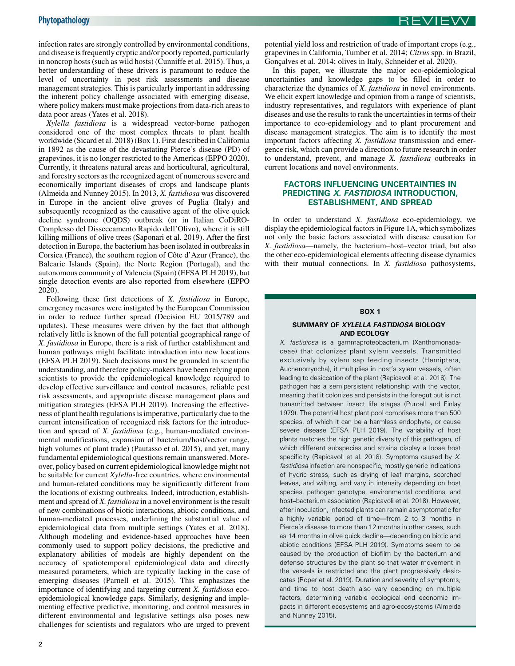REVIEW

infection rates are strongly controlled by environmental conditions, and disease is frequently cryptic and/or poorly reported, particularly in noncrop hosts (such as wild hosts) ([Cunniffe et al. 2015](#page-8-0)). Thus, a better understanding of these drivers is paramount to reduce the level of uncertainty in pest risk assessments and disease management strategies. This is particularly important in addressing the inherent policy challenge associated with emerging disease, where policy makers must make projections from data-rich areas to data poor areas ([Yates et al. 2018\)](#page-10-0).

Xylella fastidiosa is a widespread vector-borne pathogen considered one of the most complex threats to plant health worldwide [\(Sicard et al. 2018](#page-9-0)) (Box 1). First described in California in 1892 as the cause of the devastating Pierce's disease (PD) of grapevines, it is no longer restricted to the Americas [\(EPPO 2020](#page-9-0)). Currently, it threatens natural areas and horticultural, agricultural, and forestry sectors as the recognized agent of numerous severe and economically important diseases of crops and landscape plants ([Almeida and Nunney 2015\)](#page-8-0). In 2013, X. fastidiosa was discovered in Europe in the ancient olive groves of Puglia (Italy) and subsequently recognized as the causative agent of the olive quick decline syndrome (OQDS) outbreak (or in Italian CoDiRO-Complesso del Disseccamento Rapido dell'Olivo), where it is still killing millions of olive trees [\(Saponari et al. 2019](#page-9-0)). After the first detection in Europe, the bacterium has been isolated in outbreaks in Corsica (France), the southern region of Côte d'Azur (France), the Balearic Islands (Spain), the Norte Region (Portugal), and the autonomous community of Valencia (Spain) ([EFSA PLH 2019\)](#page-8-0), but single detection events are also reported from elsewhere ([EPPO](#page-9-0) [2020\)](#page-9-0).

Following these first detections of X. fastidiosa in Europe, emergency measures were instigated by the European Commission in order to reduce further spread (Decision EU 2015/789 and updates). These measures were driven by the fact that although relatively little is known of the full potential geographical range of X. fastidiosa in Europe, there is a risk of further establishment and human pathways might facilitate introduction into new locations ([EFSA PLH 2019\)](#page-8-0). Such decisions must be grounded in scientific understanding, and therefore policy-makers have been relying upon scientists to provide the epidemiological knowledge required to develop effective surveillance and control measures, reliable pest risk assessments, and appropriate disease management plans and mitigation strategies ([EFSA PLH 2019](#page-8-0)). Increasing the effectiveness of plant health regulations is imperative, particularly due to the current intensification of recognized risk factors for the introduction and spread of X. fastidiosa (e.g., human-mediated environmental modifications, expansion of bacterium/host/vector range, high volumes of plant trade) ([Pautasso et al. 2015](#page-9-0)), and yet, many fundamental epidemiological questions remain unanswered. Moreover, policy based on current epidemiological knowledge might not be suitable for current Xylella-free countries, where environmental and human-related conditions may be significantly different from the locations of existing outbreaks. Indeed, introduction, establishment and spread of X. fastidiosa in a novel environment is the result of new combinations of biotic interactions, abiotic conditions, and human-mediated processes, underlining the substantial value of epidemiological data from multiple settings [\(Yates et al. 2018](#page-10-0)). Although modeling and evidence-based approaches have been commonly used to support policy decisions, the predictive and explanatory abilities of models are highly dependent on the accuracy of spatiotemporal epidemiological data and directly measured parameters, which are typically lacking in the case of emerging diseases [\(Parnell et al. 2015\)](#page-9-0). This emphasizes the importance of identifying and targeting current X. fastidiosa ecoepidemiological knowledge gaps. Similarly, designing and implementing effective predictive, monitoring, and control measures in different environmental and legislative settings also poses new challenges for scientists and regulators who are urged to prevent

In this paper, we illustrate the major eco-epidemiological uncertainties and knowledge gaps to be filled in order to characterize the dynamics of X. fastidiosa in novel environments. We elicit expert knowledge and opinion from a range of scientists, industry representatives, and regulators with experience of plant diseases and use the results to rank the uncertainties in terms of their importance to eco-epidemiology and to plant procurement and disease management strategies. The aim is to identify the most important factors affecting X. fastidiosa transmission and emergence risk, which can provide a direction to future research in order to understand, prevent, and manage X. fastidiosa outbreaks in current locations and novel environments.

## FACTORS INFLUENCING UNCERTAINTIES IN PREDICTING X. FASTIDIOSA INTRODUCTION. ESTABLISHMENT, AND SPREAD

In order to understand X. *fastidiosa* eco-epidemiology, we display the epidemiological factors in [Figure 1A](#page-2-0), which symbolizes not only the basic factors associated with disease causation for X. fastidiosa—namely, the bacterium-host-vector triad, but also the other eco-epidemiological elements affecting disease dynamics with their mutual connections. In X. fastidiosa pathosystems,

## BOX 1

#### SUMMARY OF XYLELLA FASTIDIOSA BIOLOGY AND ECOLOGY

X. fastidiosa is a gammaproteobacterium (Xanthomonadaceae) that colonizes plant xylem vessels. Transmitted exclusively by xylem sap feeding insects (Hemiptera, Auchenorryncha), it multiplies in host's xylem vessels, often leading to desiccation of the plant [\(Rapicavoli et al. 2018](#page-9-0)). The pathogen has a semipersistent relationship with the vector, meaning that it colonizes and persists in the foregut but is not transmitted between insect life stages ([Purcell and Finlay](#page-9-0) [1979](#page-9-0)). The potential host plant pool comprises more than 500 species, of which it can be a harmless endophyte, or cause severe disease [\(EFSA PLH 2019](#page-8-0)). The variability of host plants matches the high genetic diversity of this pathogen, of which different subspecies and strains display a loose host specificity [\(Rapicavoli et al. 2018](#page-9-0)). Symptoms caused by X. fastidiosa infection are nonspecific, mostly generic indications of hydric stress, such as drying of leaf margins, scorched leaves, and wilting, and vary in intensity depending on host species, pathogen genotype, environmental conditions, and host-bacterium association ([Rapicavoli et al. 2018](#page-9-0)). However, after inoculation, infected plants can remain asymptomatic for a highly variable period of time—from 2 to 3 months in Pierce's disease to more than 12 months in other cases, such as 14 months in olive quick decline—depending on biotic and abiotic conditions ([EFSA PLH 2019\)](#page-8-0). Symptoms seem to be caused by the production of biofilm by the bacterium and defense structures by the plant so that water movement in the vessels is restricted and the plant progressively desiccates [\(Roper et al. 2019\)](#page-9-0). Duration and severity of symptoms, and time to host death also vary depending on multiple factors, determining variable ecological end economic impacts in different ecosystems and agro-ecosystems [\(Almeida](#page-8-0) [and Nunney 2015\)](#page-8-0).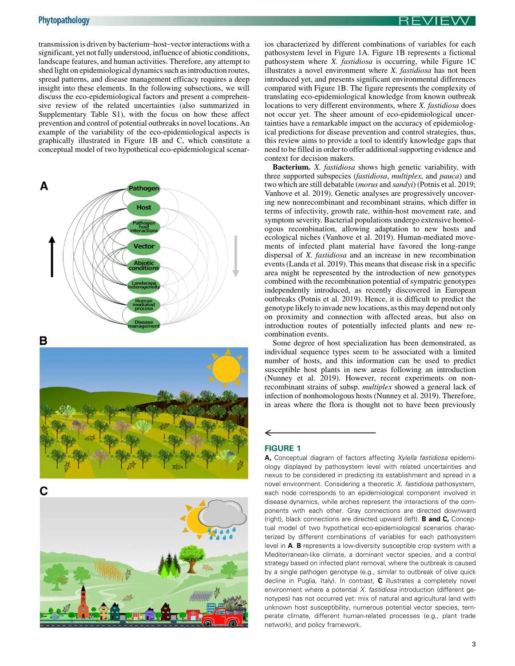<span id="page-2-0"></span>transmission is driven by bacterium\_host\_vector interactions with a significant, yet not fully understood, influence of abiotic conditions, landscape features, and human activities. Therefore, any attempt to shed light on epidemiological dynamics such as introduction routes, spread patterns, and disease management efficacy requires a deep insight into these elements. In the following subsections, we will discuss the eco-epidemiological factors and present a comprehensive review of the related uncertainties (also summarized in Supplementary Table S1), with the focus on how these affect prevention and control of potential outbreaks in novel locations. An example of the variability of the eco-epidemiological aspects is graphically illustrated in Figure 1B and C, which constitute a conceptual model of two hypothetical eco-epidemiological scenar-











ios characterized by different combinations of variables for each pathosystem level in Figure 1A. Figure 1B represents a fictional pathosystem where X. fastidiosa is occurring, while Figure 1C illustrates a novel environment where X. fastidiosa has not been introduced yet, and presents significant environmental differences compared with Figure 1B. The figure represents the complexity of translating eco-epidemiological knowledge from known outbreak locations to very different environments, where X. fastidiosa does not occur yet. The sheer amount of eco-epidemiological uncertainties have a remarkable impact on the accuracy of epidemiological predictions for disease prevention and control strategies, thus, this review aims to provide a tool to identify knowledge gaps that need to be filled in order to offer additional supporting evidence and context for decision makers.

Bacterium. X. fastidiosa shows high genetic variability, with three supported subspecies (fastidiosa, multiplex, and pauca) and two which are still debatable (morus and sandyi) [\(Potnis et al. 2019](#page-9-0); [Vanhove et al. 2019](#page-10-0)). Genetic analyses are progressively uncovering new nonrecombinant and recombinant strains, which differ in terms of infectivity, growth rate, within-host movement rate, and symptom severity. Bacterial populations undergo extensive homologous recombination, allowing adaptation to new hosts and ecological niches [\(Vanhove et al. 2019](#page-10-0)). Human-mediated movements of infected plant material have favored the long-range dispersal of X. fastidiosa and an increase in new recombination events ([Landa et al. 2019\)](#page-9-0). This means that disease risk in a specific area might be represented by the introduction of new genotypes combined with the recombination potential of sympatric genotypes independently introduced, as recently discovered in European outbreaks ([Potnis et al. 2019](#page-9-0)). Hence, it is difficult to predict the genotype likely to invade new locations, as this may depend not only on proximity and connection with affected areas, but also on introduction routes of potentially infected plants and new recombination events.

Some degree of host specialization has been demonstrated, as individual sequence types seem to be associated with a limited number of hosts, and this information can be used to predict susceptible host plants in new areas following an introduction ([Nunney et al. 2019\)](#page-9-0). However, recent experiments on nonrecombinant strains of subsp. multiplex showed a general lack of infection of nonhomologous hosts ([Nunney et al. 2019\)](#page-9-0). Therefore, in areas where the flora is thought not to have been previously

## FIGURE 1

←

A, Conceptual diagram of factors affecting Xylella fastidiosa epidemiology displayed by pathosystem level with related uncertainties and nexus to be considered in predicting its establishment and spread in a novel environment. Considering a theoretic X. fastidiosa pathosystem, each node corresponds to an epidemiological component involved in disease dynamics, while arches represent the interactions of the components with each other. Gray connections are directed downward (right), black connections are directed upward (left). B and C, Conceptual model of two hypothetical eco-epidemiological scenarios characterized by different combinations of variables for each pathosystem level in A. B represents a low-diversity susceptible crop system with a Mediterranean-like climate, a dominant vector species, and a control strategy based on infected plant removal, where the outbreak is caused by a single pathogen genotype (e.g., similar to outbreak of olive quick decline in Puglia, Italy). In contrast, C illustrates a completely novel environment where a potential X. fastidiosa introduction (different genotypes) has not occurred yet: mix of natural and agricultural land with unknown host susceptibility, numerous potential vector species, temperate climate, different human-related processes (e.g., plant trade network), and policy framework.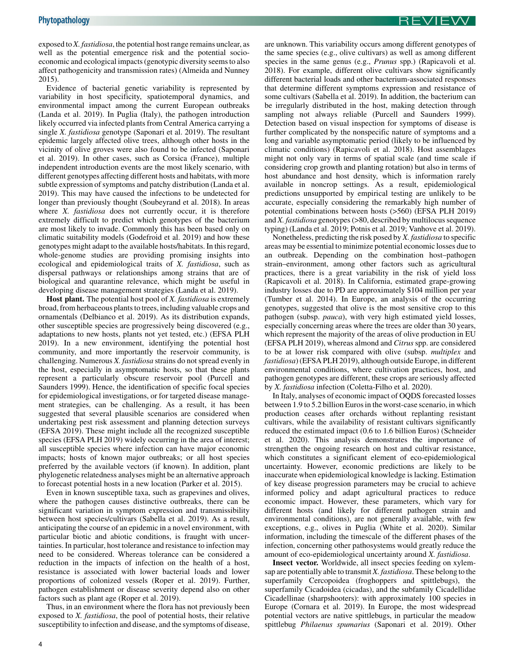exposed to X. fastidiosa, the potential host range remains unclear, as well as the potential emergence risk and the potential socioeconomic and ecological impacts (genotypic diversity seems to also affect pathogenicity and transmission rates) [\(Almeida and Nunney](#page-8-0) [2015\)](#page-8-0).

Evidence of bacterial genetic variability is represented by variability in host specificity, spatiotemporal dynamics, and environmental impact among the current European outbreaks ([Landa et al. 2019\)](#page-9-0). In Puglia (Italy), the pathogen introduction likely occurred via infected plants from Central America carrying a single X. fastidiosa genotype ([Saponari et al. 2019\)](#page-9-0). The resultant epidemic largely affected olive trees, although other hosts in the vicinity of olive groves were also found to be infected [\(Saponari](#page-9-0) [et al. 2019](#page-9-0)). In other cases, such as Corsica (France), multiple independent introduction events are the most likely scenario, with different genotypes affecting different hosts and habitats, with more subtle expression of symptoms and patchy distribution ([Landa et al.](#page-9-0) [2019\)](#page-9-0). This may have caused the infections to be undetected for longer than previously thought ([Soubeyrand et al. 2018](#page-9-0)). In areas where X. *fastidiosa* does not currently occur, it is therefore extremely difficult to predict which genotypes of the bacterium are most likely to invade. Commonly this has been based only on climatic suitability models ([Godefroid et al. 2019](#page-9-0)) and how these genotypes might adapt to the available hosts/habitats. In this regard, whole-genome studies are providing promising insights into ecological and epidemiological traits of X. fastidiosa, such as dispersal pathways or relationships among strains that are of biological and quarantine relevance, which might be useful in developing disease management strategies [\(Landa et al. 2019\)](#page-9-0).

Host plant. The potential host pool of *X. fastidiosa* is extremely broad, from herbaceous plants to trees, including valuable crops and ornamentals ([Delbianco et al. 2019](#page-8-0)). As its distribution expands, other susceptible species are progressively being discovered (e.g., adaptations to new hosts, plants not yet tested, etc.) ([EFSA PLH](#page-8-0) [2019\)](#page-8-0). In a new environment, identifying the potential host community, and more importantly the reservoir community, is challenging. Numerous X. fastidiosa strains do not spread evenly in the host, especially in asymptomatic hosts, so that these plants represent a particularly obscure reservoir pool ([Purcell and](#page-9-0) [Saunders 1999\)](#page-9-0). Hence, the identification of specific focal species for epidemiological investigations, or for targeted disease management strategies, can be challenging. As a result, it has been suggested that several plausible scenarios are considered when undertaking pest risk assessment and planning detection surveys ([EFSA 2019\)](#page-8-0). These might include all the recognized susceptible species ([EFSA PLH 2019\)](#page-8-0) widely occurring in the area of interest; all susceptible species where infection can have major economic impacts; hosts of known major outbreaks; or all host species preferred by the available vectors (if known). In addition, plant phylogenetic relatedness analyses might be an alternative approach to forecast potential hosts in a new location ([Parker et al. 2015\)](#page-9-0).

Even in known susceptible taxa, such as grapevines and olives, where the pathogen causes distinctive outbreaks, there can be significant variation in symptom expression and transmissibility between host species/cultivars [\(Sabella et al. 2019\)](#page-9-0). As a result, anticipating the course of an epidemic in a novel environment, with particular biotic and abiotic conditions, is fraught with uncertainties. In particular, host tolerance and resistance to infection may need to be considered. Whereas tolerance can be considered a reduction in the impacts of infection on the health of a host, resistance is associated with lower bacterial loads and lower proportions of colonized vessels ([Roper et al. 2019\)](#page-9-0). Further, pathogen establishment or disease severity depend also on other factors such as plant age [\(Roper et al. 2019](#page-9-0)).

Thus, in an environment where the flora has not previously been exposed to X. fastidiosa, the pool of potential hosts, their relative susceptibility to infection and disease, and the symptoms of disease, are unknown. This variability occurs among different genotypes of the same species (e.g., olive cultivars) as well as among different species in the same genus (e.g., *Prunus* spp.) [\(Rapicavoli et al.](#page-9-0) [2018\)](#page-9-0). For example, different olive cultivars show significantly different bacterial loads and other bacterium-associated responses that determine different symptoms expression and resistance of some cultivars ([Sabella et al. 2019\)](#page-9-0). In addition, the bacterium can be irregularly distributed in the host, making detection through sampling not always reliable [\(Purcell and Saunders 1999](#page-9-0)). Detection based on visual inspection for symptoms of disease is further complicated by the nonspecific nature of symptoms and a long and variable asymptomatic period (likely to be influenced by climatic conditions) [\(Rapicavoli et al. 2018](#page-9-0)). Host assemblages might not only vary in terms of spatial scale (and time scale if considering crop growth and planting rotation) but also in terms of host abundance and host density, which is information rarely available in noncrop settings. As a result, epidemiological predictions unsupported by empirical testing are unlikely to be accurate, especially considering the remarkably high number of potential combinations between hosts (>560) [\(EFSA PLH 2019\)](#page-8-0) and X. fastidiosa genotypes (>80, described by multilocus sequence typing) [\(Landa et al. 2019](#page-9-0); [Potnis et al. 2019;](#page-9-0) [Vanhove et al. 2019](#page-10-0)).

Nonetheless, predicting the risk posed by X. fastidiosa to specific areas may be essential to minimize potential economic losses due to an outbreak. Depending on the combination host\_pathogen strain-environment, among other factors such as agricultural practices, there is a great variability in the risk of yield loss ([Rapicavoli et al. 2018\)](#page-9-0). In California, estimated grape-growing industry losses due to PD are approximately \$104 million per year ([Tumber et al. 2014](#page-10-0)). In Europe, an analysis of the occurring genotypes, suggested that olive is the most sensitive crop to this pathogen (subsp. pauca), with very high estimated yield losses, especially concerning areas where the trees are older than 30 years, which represent the majority of the areas of olive production in EU ([EFSA PLH 2019\)](#page-8-0), whereas almond and Citrus spp. are considered to be at lower risk compared with olive (subsp. multiplex and fastidiosa) [\(EFSA PLH 2019](#page-8-0)), although outside Europe, in different environmental conditions, where cultivation practices, host, and pathogen genotypes are different, these crops are seriously affected by X. fastidiosa infection ([Coletta-Filho et al. 2020\)](#page-8-0).

In Italy, analyses of economic impact of OQDS forecasted losses between 1.9 to 5.2 billion Euros in the worst-case scenario, in which production ceases after orchards without replanting resistant cultivars, while the availability of resistant cultivars significantly reduced the estimated impact (0.6 to 1.6 billion Euros) ([Schneider](#page-9-0) [et al. 2020\)](#page-9-0). This analysis demonstrates the importance of strengthen the ongoing research on host and cultivar resistance, which constitutes a significant element of eco-epidemiological uncertainty. However, economic predictions are likely to be inaccurate when epidemiological knowledge is lacking. Estimation of key disease progression parameters may be crucial to achieve informed policy and adapt agricultural practices to reduce economic impact. However, these parameters, which vary for different hosts (and likely for different pathogen strain and environmental conditions), are not generally available, with few exceptions, e.g., olives in Puglia ([White et al. 2020\)](#page-10-0). Similar information, including the timescale of the different phases of the infection, concerning other pathosystems would greatly reduce the amount of eco-epidemiological uncertainty around X. fastidiosa.

Insect vector. Worldwide, all insect species feeding on xylemsap are potentially able to transmit X. fastidiosa. These belong to the superfamily Cercopoidea (froghoppers and spittlebugs), the superfamily Cicadoidea (cicadas), and the subfamily Cicadellidae Cicadellinae (sharpshooters): with approximately 100 species in Europe ([Cornara et al. 2019](#page-8-0)). In Europe, the most widespread potential vectors are native spittlebugs, in particular the meadow spittlebug Philaenus spumarius ([Saponari et al. 2019](#page-9-0)). Other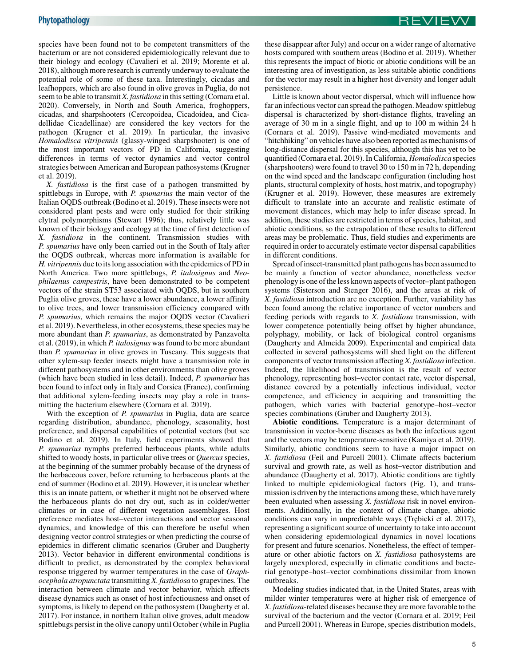species have been found not to be competent transmitters of the bacterium or are not considered epidemiologically relevant due to their biology and ecology ([Cavalieri et al. 2019;](#page-8-0) [Morente et al.](#page-9-0) [2018\)](#page-9-0), although more research is currently underway to evaluate the potential role of some of these taxa. Interestingly, cicadas and leafhoppers, which are also found in olive groves in Puglia, do not seem to be able to transmit X. fastidiosa in this setting [\(Cornara et al.](#page-8-0) [2020\)](#page-8-0). Conversely, in North and South America, froghoppers, cicadas, and sharpshooters (Cercopoidea, Cicadoidea, and Cicadellidae Cicadellinae) are considered the key vectors for the pathogen [\(Krugner et al. 2019](#page-9-0)). In particular, the invasive Homalodisca vitripennis (glassy-winged sharpshooter) is one of the most important vectors of PD in California, suggesting differences in terms of vector dynamics and vector control strategies between American and European pathosystems [\(Krugner](#page-9-0) [et al. 2019\)](#page-9-0).

X. fastidiosa is the first case of a pathogen transmitted by spittlebugs in Europe, with P. spumarius the main vector of the Italian OQDS outbreak [\(Bodino et al. 2019](#page-8-0)). These insects were not considered plant pests and were only studied for their striking elytral polymorphisms [\(Stewart 1996\)](#page-10-0); thus, relatively little was known of their biology and ecology at the time of first detection of X. fastidiosa in the continent. Transmission studies with P. spumarius have only been carried out in the South of Italy after the OQDS outbreak, whereas more information is available for H. vitripennis due to its long association with the epidemics of PD in North America. Two more spittlebugs, P. italosignus and Neophilaenus campestris, have been demonstrated to be competent vectors of the strain ST53 associated with OQDS, but in southern Puglia olive groves, these have a lower abundance, a lower affinity to olive trees, and lower transmission efficiency compared with P. spumarius, which remains the major OQDS vector [\(Cavalieri](#page-8-0) [et al. 2019\)](#page-8-0). Nevertheless, in other ecosystems, these species may be more abundant than *P. spumarius*, as demonstrated by [Panzavolta](#page-9-0) [et al. \(2019\),](#page-9-0) in which P. italosignus was found to be more abundant than P. spumarius in olive groves in Tuscany. This suggests that other xylem-sap feeder insects might have a transmission role in different pathosystems and in other environments than olive groves (which have been studied in less detail). Indeed, P. spumarius has been found to infect only in Italy and Corsica (France), confirming that additional xylem-feeding insects may play a role in transmitting the bacterium elsewhere [\(Cornara et al. 2019](#page-8-0)).

With the exception of P. spumarius in Puglia, data are scarce regarding distribution, abundance, phenology, seasonality, host preference, and dispersal capabilities of potential vectors (but see [Bodino et al. 2019](#page-8-0)). In Italy, field experiments showed that P. spumarius nymphs preferred herbaceous plants, while adults shifted to woody hosts, in particular olive trees or *Quercus* species, at the beginning of the summer probably because of the dryness of the herbaceous cover, before returning to herbaceous plants at the end of summer ([Bodino et al. 2019](#page-8-0)). However, it is unclear whether this is an innate pattern, or whether it might not be observed where the herbaceous plants do not dry out, such as in colder/wetter climates or in case of different vegetation assemblages. Host preference mediates host-vector interactions and vector seasonal dynamics, and knowledge of this can therefore be useful when designing vector control strategies or when predicting the course of epidemics in different climatic scenarios ([Gruber and Daugherty](#page-9-0) [2013\)](#page-9-0). Vector behavior in different environmental conditions is difficult to predict, as demonstrated by the complex behavioral response triggered by warmer temperatures in the case of Graphocephala atropunctata transmitting X. fastidiosa to grapevines. The interaction between climate and vector behavior, which affects disease dynamics such as onset of host infectiousness and onset of symptoms, is likely to depend on the pathosystem ([Daugherty et al.](#page-8-0) [2017\)](#page-8-0). For instance, in northern Italian olive groves, adult meadow spittlebugs persist in the olive canopy until October (while in Puglia these disappear after July) and occur on a wider range of alternative hosts compared with southern areas [\(Bodino et al. 2019](#page-8-0)). Whether this represents the impact of biotic or abiotic conditions will be an interesting area of investigation, as less suitable abiotic conditions for the vector may result in a higher host diversity and longer adult persistence.

Little is known about vector dispersal, which will influence how far an infectious vector can spread the pathogen. Meadow spittlebug dispersal is characterized by short-distance flights, traveling an average of 30 m in a single flight, and up to 100 m within 24 h ([Cornara et al. 2019](#page-8-0)). Passive wind-mediated movements and "hitchhiking" on vehicles have also been reported as mechanisms of long-distance dispersal for this species, although this has yet to be quantified ([Cornara et al. 2019\)](#page-8-0). In California, Homalodisca species (sharpshooters) were found to travel 30 to 150 m in 72 h, depending on the wind speed and the landscape configuration (including host plants, structural complexity of hosts, host matrix, and topography) ([Krugner et al. 2019\)](#page-9-0). However, these measures are extremely difficult to translate into an accurate and realistic estimate of movement distances, which may help to infer disease spread. In addition, these studies are restricted in terms of species, habitat, and abiotic conditions, so the extrapolation of these results to different areas may be problematic. Thus, field studies and experiments are required in order to accurately estimate vector dispersal capabilities in different conditions.

Spread of insect-transmitted plant pathogens has been assumed to be mainly a function of vector abundance, nonetheless vector phenology is one of the less known aspects of vector–plant pathogen systems [\(Sisterson and Stenger 2016](#page-9-0)), and the areas at risk of X. fastidiosa introduction are no exception. Further, variability has been found among the relative importance of vector numbers and feeding periods with regards to X. fastidiosa transmission, with lower competence potentially being offset by higher abundance, polyphagy, mobility, or lack of biological control organisms ([Daugherty and Almeida 2009\)](#page-8-0). Experimental and empirical data collected in several pathosystems will shed light on the different components of vector transmission affecting X. fastidiosa infection. Indeed, the likelihood of transmission is the result of vector phenology, representing host-vector contact rate, vector dispersal, distance covered by a potentially infectious individual, vector competence, and efficiency in acquiring and transmitting the pathogen, which varies with bacterial genotype-host-vector species combinations [\(Gruber and Daugherty 2013\)](#page-9-0).

Abiotic conditions. Temperature is a major determinant of transmission in vector-borne diseases as both the infectious agent and the vectors may be temperature-sensitive [\(Kamiya et al. 2019](#page-9-0)). Similarly, abiotic conditions seem to have a major impact on X. fastidiosa [\(Feil and Purcell 2001\)](#page-9-0). Climate affects bacterium survival and growth rate, as well as host-vector distribution and abundance [\(Daugherty et al. 2017\)](#page-8-0). Abiotic conditions are tightly linked to multiple epidemiological factors [\(Fig. 1\)](#page-2-0), and transmission is driven by the interactions among these, which have rarely been evaluated when assessing X. *fastidiosa* risk in novel environments. Additionally, in the context of climate change, abiotic conditions can vary in unpredictable ways [\(Tre](#page-10-0)[bicki et al. 2017](#page-10-0)), representing a significant source of uncertainty to take into account when considering epidemiological dynamics in novel locations for present and future scenarios. Nonetheless, the effect of temperature or other abiotic factors on X. fastidiosa pathosystems are largely unexplored, especially in climatic conditions and bacterial genotype-host-vector combinations dissimilar from known outbreaks.

Modeling studies indicated that, in the United States, areas with milder winter temperatures were at higher risk of emergence of X. fastidiosa-related diseases because they are more favorable to the survival of the bacterium and the vector [\(Cornara et al. 2019;](#page-8-0) [Feil](#page-9-0) [and Purcell 2001](#page-9-0)). Whereas in Europe, species distribution models,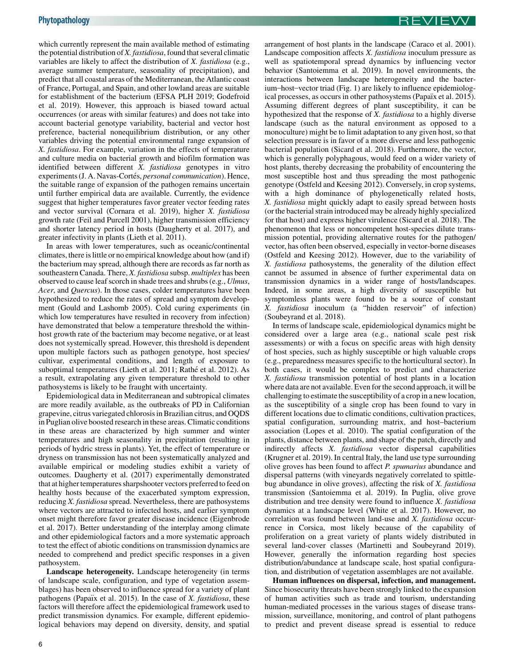which currently represent the main available method of estimating the potential distribution of X. fastidiosa, found that several climatic variables are likely to affect the distribution of X. fastidiosa (e.g., average summer temperature, seasonality of precipitation), and predict that all coastal areas of the Mediterranean, the Atlantic coast of France, Portugal, and Spain, and other lowland areas are suitable for establishment of the bacterium ([EFSA PLH 2019](#page-8-0); [Godefroid](#page-9-0) [et al. 2019](#page-9-0)). However, this approach is biased toward actual occurrences (or areas with similar features) and does not take into account bacterial genotype variability, bacterial and vector host preference, bacterial nonequilibrium distribution, or any other variables driving the potential environmental range expansion of X. fastidiosa. For example, variation in the effects of temperature and culture media on bacterial growth and biofilm formation was identified between different  $\overline{X}$ . fastidiosa genotypes in vitro experiments (J. A. Navas-Cortés, personal communication). Hence, the suitable range of expansion of the pathogen remains uncertain until further empirical data are available. Currently, the evidence suggest that higher temperatures favor greater vector feeding rates and vector survival ([Cornara et al. 2019\)](#page-8-0), higher X. fastidiosa growth rate [\(Feil and Purcell 2001](#page-9-0)), higher transmission efficiency and shorter latency period in hosts ([Daugherty et al. 2017](#page-8-0)), and greater infectivity in plants ([Lieth et al. 2011](#page-9-0)).

In areas with lower temperatures, such as oceanic/continental climates, there is little or no empirical knowledge about how (and if) the bacterium may spread, although there are records as far north as southeastern Canada. There, X. fastidiosa subsp. multiplex has been observed to cause leaf scorch in shade trees and shrubs (e.g., Ulmus, Acer, and Quercus). In those cases, colder temperatures have been hypothesized to reduce the rates of spread and symptom development [\(Gould and Lashomb 2005\)](#page-9-0). Cold curing experiments (in which low temperatures have resulted in recovery from infection) have demonstrated that below a temperature threshold the withinhost growth rate of the bacterium may become negative, or at least does not systemically spread. However, this threshold is dependent upon multiple factors such as pathogen genotype, host species/ cultivar, experimental conditions, and length of exposure to suboptimal temperatures [\(Lieth et al. 2011](#page-9-0); [Rath](#page-9-0)é [et al. 2012](#page-9-0)). As a result, extrapolating any given temperature threshold to other pathosystems is likely to be fraught with uncertainty.

Epidemiological data in Mediterranean and subtropical climates are more readily available, as the outbreaks of PD in Californian grapevine, citrus variegated chlorosis in Brazilian citrus, and OQDS in Puglian olive boosted research in these areas. Climatic conditions in these areas are characterized by high summer and winter temperatures and high seasonality in precipitation (resulting in periods of hydric stress in plants). Yet, the effect of temperature or dryness on transmission has not been systematically analyzed and available empirical or modeling studies exhibit a variety of outcomes. [Daugherty et al. \(2017\)](#page-8-0) experimentally demonstrated that at higher temperatures sharpshooter vectors preferred to feed on healthy hosts because of the exacerbated symptom expression, reducing X. fastidiosa spread. Nevertheless, there are pathosystems where vectors are attracted to infected hosts, and earlier symptom onset might therefore favor greater disease incidence [\(Eigenbrode](#page-9-0) [et al. 2017\)](#page-9-0). Better understanding of the interplay among climate and other epidemiological factors and a more systematic approach to test the effect of abiotic conditions on transmission dynamics are needed to comprehend and predict specific responses in a given pathosystem.

Landscape heterogeneity. Landscape heterogeneity (in terms of landscape scale, configuration, and type of vegetation assemblages) has been observed to influence spread for a variety of plant pathogens (Papaïx et al. 2015). In the case of  $X$ . *fastidiosa*, these factors will therefore affect the epidemiological framework used to predict transmission dynamics. For example, different epidemiological behaviors may depend on diversity, density, and spatial arrangement of host plants in the landscape [\(Caraco et al. 2001](#page-8-0)). Landscape composition affects X. fastidiosa inoculum pressure as well as spatiotemporal spread dynamics by influencing vector behavior [\(Santoiemma et al. 2019\)](#page-9-0). In novel environments, the interactions between landscape heterogeneity and the bacter-ium-host-vector triad [\(Fig. 1](#page-2-0)) are likely to influence epidemiological processes, as occurs in other pathosystems (Papaïx et al. 2015). Assuming different degrees of plant susceptibility, it can be hypothesized that the response of X. fastidiosa to a highly diverse landscape (such as the natural environment as opposed to a monoculture) might be to limit adaptation to any given host, so that selection pressure is in favor of a more diverse and less pathogenic bacterial population [\(Sicard et al. 2018\)](#page-9-0). Furthermore, the vector, which is generally polyphagous, would feed on a wider variety of host plants, thereby decreasing the probability of encountering the most susceptible host and thus spreading the most pathogenic genotype ([Ostfeld and Keesing 2012\)](#page-9-0). Conversely, in crop systems, with a high dominance of phylogenetically related hosts, X. fastidiosa might quickly adapt to easily spread between hosts (or the bacterial strain introduced may be already highly specialized for that host) and express higher virulence [\(Sicard et al. 2018\)](#page-9-0). The phenomenon that less or noncompetent host-species dilute transmission potential, providing alternative routes for the pathogen/ vector, has often been observed, especially in vector-borne diseases ([Ostfeld and Keesing 2012](#page-9-0)). However, due to the variability of X. fastidiosa pathosystems, the generality of the dilution effect cannot be assumed in absence of further experimental data on transmission dynamics in a wider range of hosts/landscapes. Indeed, in some areas, a high diversity of susceptible but symptomless plants were found to be a source of constant X. fastidiosa inoculum (a "hidden reservoir" of infection) ([Soubeyrand et al. 2018](#page-9-0)).

In terms of landscape scale, epidemiological dynamics might be considered over a large area (e.g., national scale pest risk assessments) or with a focus on specific areas with high density of host species, such as highly susceptible or high valuable crops (e.g., preparedness measures specific to the horticultural sector). In both cases, it would be complex to predict and characterize X. fastidiosa transmission potential of host plants in a location where data are not available. Even for the second approach, it will be challenging to estimate the susceptibility of a crop in a new location, as the susceptibility of a single crop has been found to vary in different locations due to climatic conditions, cultivation practices, spatial configuration, surrounding matrix, and host-bacterium association ([Lopes et al. 2010\)](#page-9-0). The spatial configuration of the plants, distance between plants, and shape of the patch, directly and indirectly affects X. fastidiosa vector dispersal capabilities ([Krugner et al. 2019](#page-9-0)). In central Italy, the land use type surrounding olive groves has been found to affect P. spumarius abundance and dispersal patterns (with vineyards negatively correlated to spittlebug abundance in olive groves), affecting the risk of X. fastidiosa transmission ([Santoiemma et al. 2019](#page-9-0)). In Puglia, olive grove distribution and tree density were found to influence X. *fastidiosa* dynamics at a landscape level ([White et al. 2017\)](#page-10-0). However, no correlation was found between land-use and X. fastidiosa occurrence in Corsica, most likely because of the capability of proliferation on a great variety of plants widely distributed in several land-cover classes ([Martinetti and Soubeyrand 2019](#page-9-0)). However, generally the information regarding host species distribution/abundance at landscape scale, host spatial configuration, and distribution of vegetation assemblages are not available.

Human influences on dispersal, infection, and management. Since biosecurity threats have been strongly linked to the expansion of human activities such as trade and tourism, understanding human-mediated processes in the various stages of disease transmission, surveillance, monitoring, and control of plant pathogens to predict and prevent disease spread is essential to reduce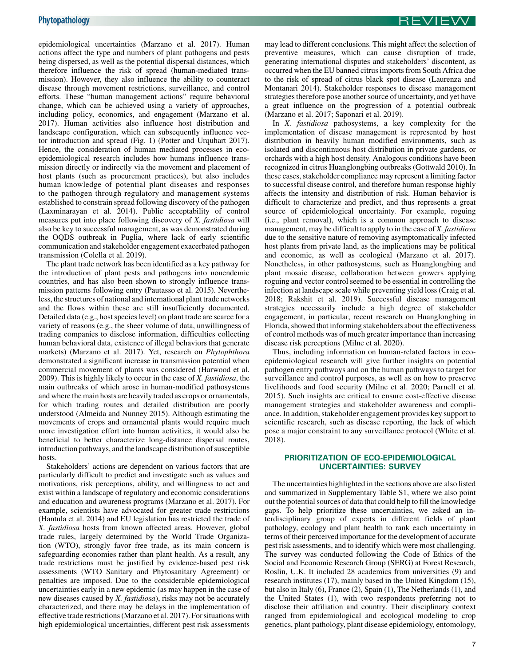epidemiological uncertainties ([Marzano et al. 2017](#page-9-0)). Human actions affect the type and numbers of plant pathogens and pests being dispersed, as well as the potential dispersal distances, which therefore influence the risk of spread (human-mediated transmission). However, they also influence the ability to counteract disease through movement restrictions, surveillance, and control efforts. These "human management actions" require behavioral change, which can be achieved using a variety of approaches, including policy, economics, and engagement [\(Marzano et al.](#page-9-0) [2017\)](#page-9-0). Human activities also influence host distribution and landscape configuration, which can subsequently influence vector introduction and spread [\(Fig. 1\)](#page-2-0) [\(Potter and Urquhart 2017](#page-9-0)). Hence, the consideration of human mediated processes in ecoepidemiological research includes how humans influence transmission directly or indirectly via the movement and placement of host plants (such as procurement practices), but also includes human knowledge of potential plant diseases and responses to the pathogen through regulatory and management systems established to constrain spread following discovery of the pathogen ([Laxminarayan et al. 2014](#page-9-0)). Public acceptability of control measures put into place following discovery of X. fastidiosa will also be key to successful management, as was demonstrated during the OQDS outbreak in Puglia, where lack of early scientific communication and stakeholder engagement exacerbated pathogen transmission [\(Colella et al. 2019\)](#page-8-0).

The plant trade network has been identified as a key pathway for the introduction of plant pests and pathogens into nonendemic countries, and has also been shown to strongly influence transmission patterns following entry [\(Pautasso et al. 2015](#page-9-0)). Nevertheless, the structures of national and international plant trade networks and the flows within these are still insufficiently documented. Detailed data (e.g., host species level) on plant trade are scarce for a variety of reasons (e.g., the sheer volume of data, unwillingness of trading companies to disclose information, difficulties collecting human behavioral data, existence of illegal behaviors that generate markets) [\(Marzano et al. 2017](#page-9-0)). Yet, research on Phytophthora demonstrated a significant increase in transmission potential when commercial movement of plants was considered [\(Harwood et al.](#page-9-0) [2009\)](#page-9-0). This is highly likely to occur in the case of X. fastidiosa, the main outbreaks of which arose in human-modified pathosystems and where the main hosts are heavily traded as crops or ornamentals, for which trading routes and detailed distribution are poorly understood ([Almeida and Nunney 2015\)](#page-8-0). Although estimating the movements of crops and ornamental plants would require much more investigation effort into human activities, it would also be beneficial to better characterize long-distance dispersal routes, introduction pathways, and the landscape distribution of susceptible hosts.

Stakeholders' actions are dependent on various factors that are particularly difficult to predict and investigate such as values and motivations, risk perceptions, ability, and willingness to act and exist within a landscape of regulatory and economic considerations and education and awareness programs ([Marzano et al. 2017\)](#page-9-0). For example, scientists have advocated for greater trade restrictions ([Hantula et al. 2014\)](#page-9-0) and EU legislation has restricted the trade of X. fastidiosa hosts from known affected areas. However, global trade rules, largely determined by the World Trade Organization (WTO), strongly favor free trade, as its main concern is safeguarding economies rather than plant health. As a result, any trade restrictions must be justified by evidence-based pest risk assessments (WTO Sanitary and Phytosanitary Agreement) or penalties are imposed. Due to the considerable epidemiological uncertainties early in a new epidemic (as may happen in the case of new diseases caused by X. fastidiosa), risks may not be accurately characterized, and there may be delays in the implementation of effective trade restrictions [\(Marzano et al. 2017\)](#page-9-0). For situations with high epidemiological uncertainties, different pest risk assessments may lead to different conclusions. This might affect the selection of preventive measures, which can cause disruption of trade, generating international disputes and stakeholders' discontent, as occurred when the EU banned citrus imports from South Africa due to the risk of spread of citrus black spot disease [\(Laurenza and](#page-9-0) [Montanari 2014\)](#page-9-0). Stakeholder responses to disease management strategies therefore pose another source of uncertainty, and yet have a great influence on the progression of a potential outbreak ([Marzano et al. 2017; Saponari et al. 2019\)](#page-9-0).

In X. fastidiosa pathosystems, a key complexity for the implementation of disease management is represented by host distribution in heavily human modified environments, such as isolated and discontinuous host distribution in private gardens, or orchards with a high host density. Analogous conditions have been recognized in citrus Huanglongbing outbreaks [\(Gottwald 2010](#page-9-0)). In these cases, stakeholder compliance may represent a limiting factor to successful disease control, and therefore human response highly affects the intensity and distribution of risk. Human behavior is difficult to characterize and predict, and thus represents a great source of epidemiological uncertainty. For example, roguing (i.e., plant removal), which is a common approach to disease management, may be difficult to apply to in the case of X. *fastidiosa* due to the sensitive nature of removing asymptomatically infected host plants from private land, as the implications may be political and economic, as well as ecological [\(Marzano et al. 2017](#page-9-0)). Nonetheless, in other pathosystems, such as Huanglongbing and plant mosaic disease, collaboration between growers applying roguing and vector control seemed to be essential in controlling the infection at landscape scale while preventing yield loss ([Craig et al.](#page-8-0) [2018;](#page-8-0) [Rakshit et al. 2019](#page-9-0)). Successful disease management strategies necessarily include a high degree of stakeholder engagement, in particular, recent research on Huanglongbing in Florida, showed that informing stakeholders about the effectiveness of control methods was of much greater importance than increasing disease risk perceptions [\(Milne et al. 2020](#page-9-0)).

Thus, including information on human-related factors in ecoepidemiological research will give further insights on potential pathogen entry pathways and on the human pathways to target for surveillance and control purposes, as well as on how to preserve livelihoods and food security [\(Milne et al. 2020](#page-9-0); [Parnell et al.](#page-9-0) [2015](#page-9-0)). Such insights are critical to ensure cost-effective disease management strategies and stakeholder awareness and compliance. In addition, stakeholder engagement provides key support to scientific research, such as disease reporting, the lack of which pose a major constraint to any surveillance protocol ([White et al.](#page-10-0) [2018](#page-10-0)).

## PRIORITIZATION OF ECO-EPIDEMIOLOGICAL UNCERTAINTIES: SURVEY

The uncertainties highlighted in the sections above are also listed and summarized in Supplementary Table S1, where we also point out the potential sources of data that could help to fill the knowledge gaps. To help prioritize these uncertainties, we asked an interdisciplinary group of experts in different fields of plant pathology, ecology and plant health to rank each uncertainty in terms of their perceived importance for the development of accurate pest risk assessments, and to identify which were most challenging. The survey was conducted following the Code of Ethics of the Social and Economic Research Group (SERG) at Forest Research, Roslin, U.K. It included 28 academics from universities (9) and research institutes (17), mainly based in the United Kingdom (15), but also in Italy (6), France (2), Spain (1), The Netherlands (1), and the United States (1), with two respondents preferring not to disclose their affiliation and country. Their disciplinary context ranged from epidemiological and ecological modeling to crop genetics, plant pathology, plant disease epidemiology, entomology,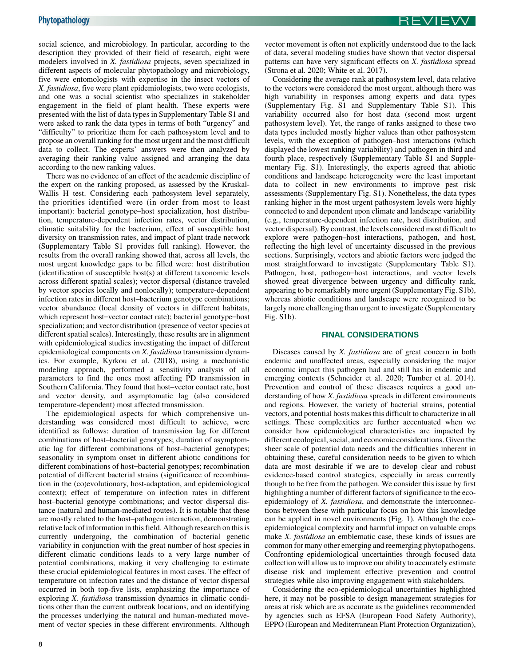social science, and microbiology. In particular, according to the description they provided of their field of research, eight were modelers involved in X. fastidiosa projects, seven specialized in different aspects of molecular phytopathology and microbiology, five were entomologists with expertise in the insect vectors of X. fastidiosa, five were plant epidemiologists, two were ecologists, and one was a social scientist who specializes in stakeholder engagement in the field of plant health. These experts were presented with the list of data types in Supplementary Table S1 and were asked to rank the data types in terms of both "urgency" and "difficulty" to prioritize them for each pathosystem level and to propose an overall ranking for the most urgent and the most difficult data to collect. The experts' answers were then analyzed by averaging their ranking value assigned and arranging the data according to the new ranking values.

There was no evidence of an effect of the academic discipline of the expert on the ranking proposed, as assessed by the Kruskal-Wallis H test. Considering each pathosystem level separately, the priorities identified were (in order from most to least important): bacterial genotype\_host specialization, host distribution, temperature-dependent infection rates, vector distribution, climatic suitability for the bacterium, effect of susceptible host diversity on transmission rates, and impact of plant trade network (Supplementary Table S1 provides full ranking). However, the results from the overall ranking showed that, across all levels, the most urgent knowledge gaps to be filled were: host distribution (identification of susceptible host(s) at different taxonomic levels across different spatial scales); vector dispersal (distance traveled by vector species locally and nonlocally); temperature-dependent infection rates in different host-bacterium genotype combinations; vector abundance (local density of vectors in different habitats, which represent host-vector contact rate); bacterial genotype-host specialization; and vector distribution (presence of vector species at different spatial scales). Interestingly, these results are in alignment with epidemiological studies investigating the impact of different epidemiological components on X. fastidiosa transmission dynamics. For example, [Kyrkou et al. \(2018\)](#page-9-0), using a mechanistic modeling approach, performed a sensitivity analysis of all parameters to find the ones most affecting PD transmission in Southern California. They found that host\_vector contact rate, host and vector density, and asymptomatic lag (also considered temperature-dependent) most affected transmission.

The epidemiological aspects for which comprehensive understanding was considered most difficult to achieve, were identified as follows: duration of transmission lag for different combinations of host\_bacterial genotypes; duration of asymptomatic lag for different combinations of host\_bacterial genotypes; seasonality in symptom onset in different abiotic conditions for different combinations of host\_bacterial genotypes; recombination potential of different bacterial strains (significance of recombination in the (co)evolutionary, host-adaptation, and epidemiological context); effect of temperature on infection rates in different host-bacterial genotype combinations; and vector dispersal distance (natural and human-mediated routes). It is notable that these are mostly related to the host\_pathogen interaction, demonstrating relative lack of information in this field. Although research on this is currently undergoing, the combination of bacterial genetic variability in conjunction with the great number of host species in different climatic conditions leads to a very large number of potential combinations, making it very challenging to estimate these crucial epidemiological features in most cases. The effect of temperature on infection rates and the distance of vector dispersal occurred in both top-five lists, emphasizing the importance of exploring X. fastidiosa transmission dynamics in climatic conditions other than the current outbreak locations, and on identifying the processes underlying the natural and human-mediated movement of vector species in these different environments. Although vector movement is often not explicitly understood due to the lack of data, several modeling studies have shown that vector dispersal patterns can have very significant effects on X. fastidiosa spread ([Strona et al. 2020; White et al. 2017](#page-10-0)).

Considering the average rank at pathosystem level, data relative to the vectors were considered the most urgent, although there was high variability in responses among experts and data types (Supplementary Fig. S1 and Supplementary Table S1). This variability occurred also for host data (second most urgent pathosystem level). Yet, the range of ranks assigned to these two data types included mostly higher values than other pathosystem levels, with the exception of pathogen\_host interactions (which displayed the lowest ranking variability) and pathogen in third and fourth place, respectively (Supplementary Table S1 and Supplementary Fig. S1). Interestingly, the experts agreed that abiotic conditions and landscape heterogeneity were the least important data to collect in new environments to improve pest risk assessments (Supplementary Fig. S1). Nonetheless, the data types ranking higher in the most urgent pathosystem levels were highly connected to and dependent upon climate and landscape variability (e.g., temperature-dependent infection rate, host distribution, and vector dispersal). By contrast, the levels considered most difficult to explore were pathogen-host interactions, pathogen, and host, reflecting the high level of uncertainty discussed in the previous sections. Surprisingly, vectors and abiotic factors were judged the most straightforward to investigate (Supplementary Table S1). Pathogen, host, pathogen-host interactions, and vector levels showed great divergence between urgency and difficulty rank, appearing to be remarkably more urgent (Supplementary Fig. S1b), whereas abiotic conditions and landscape were recognized to be largely more challenging than urgent to investigate (Supplementary Fig. S1b).

#### FINAL CONSIDERATIONS

Diseases caused by X. *fastidiosa* are of great concern in both endemic and unaffected areas, especially considering the major economic impact this pathogen had and still has in endemic and emerging contexts ([Schneider et al. 2020;](#page-9-0) [Tumber et al. 2014](#page-10-0)). Prevention and control of these diseases requires a good understanding of how X. *fastidiosa* spreads in different environments and regions. However, the variety of bacterial strains, potential vectors, and potential hosts makes this difficult to characterize in all settings. These complexities are further accentuated when we consider how epidemiological characteristics are impacted by different ecological, social, and economic considerations. Given the sheer scale of potential data needs and the difficulties inherent in obtaining these, careful consideration needs to be given to which data are most desirable if we are to develop clear and robust evidence-based control strategies, especially in areas currently though to be free from the pathogen. We consider this issue by first highlighting a number of different factors of significance to the ecoepidemiology of X. fastidiosa, and demonstrate the interconnections between these with particular focus on how this knowledge can be applied in novel environments [\(Fig. 1\)](#page-2-0). Although the ecoepidemiological complexity and harmful impact on valuable crops make X. fastidiosa an emblematic case, these kinds of issues are common for many other emerging and reemerging phytopathogens. Confronting epidemiological uncertainties through focused data collection will allow us to improve our ability to accurately estimate disease risk and implement effective prevention and control strategies while also improving engagement with stakeholders.

Considering the eco-epidemiological uncertainties highlighted here, it may not be possible to design management strategies for areas at risk which are as accurate as the guidelines recommended by agencies such as EFSA (European Food Safety Authority), EPPO (European and Mediterranean Plant Protection Organization),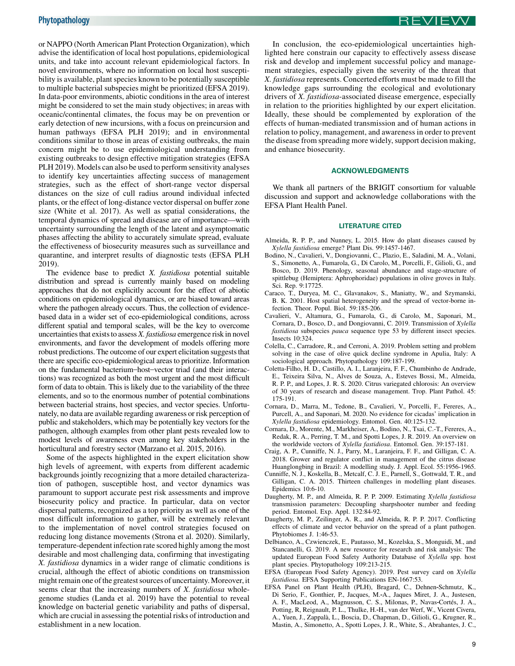<span id="page-8-0"></span>or NAPPO (North American Plant Protection Organization), which advise the identification of local host populations, epidemiological units, and take into account relevant epidemiological factors. In novel environments, where no information on local host susceptibility is available, plant species known to be potentially susceptible to multiple bacterial subspecies might be prioritized (EFSA 2019). In data-poor environments, abiotic conditions in the area of interest might be considered to set the main study objectives; in areas with oceanic/continental climates, the focus may be on prevention or early detection of new incursions, with a focus on preincursion and human pathways (EFSA PLH 2019); and in environmental conditions similar to those in areas of existing outbreaks, the main concern might be to use epidemiological understanding from existing outbreaks to design effective mitigation strategies (EFSA PLH 2019). Models can also be used to perform sensitivity analyses to identify key uncertainties affecting success of management strategies, such as the effect of short-range vector dispersal distances on the size of cull radius around individual infected plants, or the effect of long-distance vector dispersal on buffer zone size ([White et al. 2017\)](#page-10-0). As well as spatial considerations, the temporal dynamics of spread and disease are of importance—with uncertainty surrounding the length of the latent and asymptomatic phases affecting the ability to accurately simulate spread, evaluate the effectiveness of biosecurity measures such as surveillance and quarantine, and interpret results of diagnostic tests (EFSA PLH 2019).

The evidence base to predict X. fastidiosa potential suitable distribution and spread is currently mainly based on modeling approaches that do not explicitly account for the effect of abiotic conditions on epidemiological dynamics, or are biased toward areas where the pathogen already occurs. Thus, the collection of evidencebased data in a wider set of eco-epidemiological conditions, across different spatial and temporal scales, will be the key to overcome uncertainties that exists to assess X. fastidiosa emergence risk in novel environments, and favor the development of models offering more robust predictions. The outcome of our expert elicitation suggests that there are specific eco-epidemiological areas to prioritize. Information on the fundamental bacterium-host-vector triad (and their interactions) was recognized as both the most urgent and the most difficult form of data to obtain. This is likely due to the variability of the three elements, and so to the enormous number of potential combinations between bacterial strains, host species, and vector species. Unfortunately, no data are available regarding awareness or risk perception of public and stakeholders, which may be potentially key vectors for the pathogen, although examples from other plant pests revealed low to modest levels of awareness even among key stakeholders in the horticultural and forestry sector ([Marzano et al. 2015](#page-9-0), [2016](#page-9-0)).

Some of the aspects highlighted in the expert elicitation show high levels of agreement, with experts from different academic backgrounds jointly recognizing that a more detailed characterization of pathogen, susceptible host, and vector dynamics was paramount to support accurate pest risk assessments and improve biosecurity policy and practice. In particular, data on vector dispersal patterns, recognized as a top priority as well as one of the most difficult information to gather, will be extremely relevant to the implementation of novel control strategies focused on reducing long distance movements [\(Strona et al. 2020\)](#page-10-0). Similarly, temperature-dependent infection rate scored highly among the most desirable and most challenging data, confirming that investigating X. fastidiosa dynamics in a wider range of climatic conditions is crucial, although the effect of abiotic conditions on transmission might remain one of the greatest sources of uncertainty. Moreover, it seems clear that the increasing numbers of *X. fastidiosa* wholegenome studies ([Landa et al. 2019](#page-9-0)) have the potential to reveal knowledge on bacterial genetic variability and paths of dispersal, which are crucial in assessing the potential risks of introduction and establishment in a new location.

In conclusion, the eco-epidemiological uncertainties highlighted here constrain our capacity to effectively assess disease risk and develop and implement successful policy and management strategies, especially given the severity of the threat that X. fastidiosa represents. Concerted efforts must be made to fill the knowledge gaps surrounding the ecological and evolutionary drivers of X. fastidiosa-associated disease emergence, especially in relation to the priorities highlighted by our expert elicitation. Ideally, these should be complemented by exploration of the effects of human-mediated transmission and of human actions in relation to policy, management, and awareness in order to prevent the disease from spreading more widely, support decision making, and enhance biosecurity.

#### ACKNOWLEDGMENTS

We thank all partners of the BRIGIT consortium for valuable discussion and support and acknowledge collaborations with the EFSA Plant Health Panel.

#### LITERATURE CITED

- Almeida, R. P. P., and Nunney, L. 2015. How do plant diseases caused by Xylella fastidiosa emerge? Plant Dis. 99:1457-1467.
- Bodino, N., Cavalieri, V., Dongiovanni, C., Plazio, E., Saladini, M. A., Volani, S., Simonetto, A., Fumarola, G., Di Carolo, M., Porcelli, F., Gilioli, G., and Bosco, D. 2019. Phenology, seasonal abundance and stage-structure of spittlebug (Hemiptera: Aphrophoridae) populations in olive groves in Italy. Sci. Rep. 9:17725.
- Caraco, T., Duryea, M. C., Glavanakov, S., Maniatty, W., and Szymanski, B. K. 2001. Host spatial heterogeneity and the spread of vector-borne infection. Theor. Popul. Biol. 59:185-206.
- Cavalieri, V., Altamura, G., Fumarola, G., di Carolo, M., Saponari, M., Cornara, D., Bosco, D., and Dongiovanni, C. 2019. Transmission of Xylella fastidiosa subspecies *pauca* sequence type 53 by different insect species. Insects 10:324.
- Colella, C., Carradore, R., and Cerroni, A. 2019. Problem setting and problem solving in the case of olive quick decline syndrome in Apulia, Italy: A sociological approach. Phytopathology 109:187-199.
- Coletta-Filho, H. D., Castillo, A. I., Laranjeira, F. F., Chumbinho de Andrade, E., Teixeira Silva, N., Alves de Souza, A., Esteves Bossi, M., Almeida, R. P. P., and Lopes, J. R. S. 2020. Citrus variegated chlorosis: An overview of 30 years of research and disease management. Trop. Plant Pathol. 45: 175-191.
- Cornara, D., Marra, M., Tedone, B., Cavalieri, V., Porcelli, F., Fereres, A., Purcell, A., and Saponari, M. 2020. No evidence for cicadas' implication in Xylella fastidiosa epidemiology. Entomol. Gen. 40:125-132.
- Cornara, D., Morente, M., Markheiser, A., Bodino, N., Tsai, C.-T., Fereres, A., Redak, R. A., Perring, T. M., and Spotti Lopes, J. R. 2019. An overview on the worldwide vectors of Xylella fastidiosa. Entomol. Gen. 39:157-181.
- Craig, A. P., Cunniffe, N. J., Parry, M., Laranjeira, F. F., and Gilligan, C. A. 2018. Grower and regulator conflict in management of the citrus disease Huanglongbing in Brazil: A modelling study. J. Appl. Ecol. 55:1956-1965.
- Cunniffe, N. J., Koskella, B., Metcalf, C. J. E., Parnell, S., Gottwald, T. R., and Gilligan, C. A. 2015. Thirteen challenges in modelling plant diseases. Epidemics 10:6-10.
- Daugherty, M. P., and Almeida, R. P. P. 2009. Estimating Xylella fastidiosa transmission parameters: Decoupling sharpshooter number and feeding period. Entomol. Exp. Appl. 132:84-92.
- Daugherty, M. P., Zeilinger, A. R., and Almeida, R. P. P. 2017. Conflicting effects of climate and vector behavior on the spread of a plant pathogen. Phytobiomes J. 1:46-53.
- Delbianco, A., Czwienczek, E., Pautasso, M., Kozelska, S., Monguidi, M., and Stancanelli, G. 2019. A new resource for research and risk analysis: The updated European Food Safety Authority Database of Xylella spp. host plant species. Phytopathology 109:213-215.
- EFSA (European Food Safety Agency). 2019. Pest survey card on Xylella fastidiosa. EFSA Supporting Publications EN-1667:53.
- EFSA Panel on Plant Health (PLH), Bragard, C., Dehnen‐Schmutz, K., Di Serio, F., Gonthier, P., Jacques, M.‐A., Jaques Miret, J. A., Justesen, A. F., MacLeod, A., Magnusson, C. S., Milonas, P., Navas-Cortés, J. A., Potting, R, Reignault, P. L., Thulke, H.‐H., van der Werf, W., Vicent Civera, A., Yuen, J., Zappala, L., Boscia, D., Chapman, D., Gilioli, G., Krugner, R., ` Mastin, A., Simonetto, A., Spotti Lopes, J. R., White, S., Abrahantes, J. C.,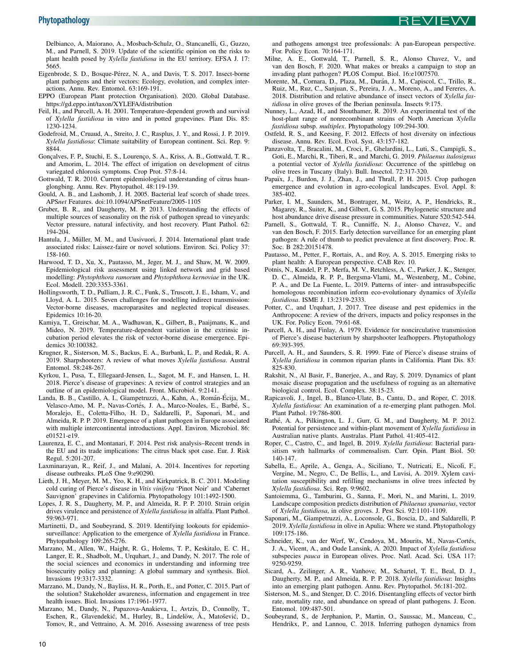<span id="page-9-0"></span>Delbianco, A, Maiorano, A., Mosbach‐Schulz, O., Stancanelli, G., Guzzo, M., and Parnell, S. 2019. Update of the scientific opinion on the risks to plant health posed by Xylella fastidiosa in the EU territory. EFSA J. 17: 5665.

- Eigenbrode, S. D., Bosque-Pérez, N. A., and Davis, T. S. 2017. Insect-borne plant pathogens and their vectors: Ecology, evolution, and complex interactions. Annu. Rev. Entomol. 63:169-191.
- EPPO (European Plant protection Organisation). 2020. Global Database. <https://gd.eppo.int/taxon/XYLEFA/distribution>
- Feil, H., and Purcell, A. H. 2001. Temperature-dependent growth and survival of Xylella fastidiosa in vitro and in potted grapevines. Plant Dis. 85: 1230-1234.
- Godefroid, M., Cruaud, A., Streito, J. C., Rasplus, J. Y., and Rossi, J. P. 2019. Xylella fastidiosa: Climate suitability of European continent. Sci. Rep. 9: 8844.
- Gonçalves, F. P., Stuchi, E. S., Lourenço, S. A., Kriss, A. B., Gottwald, T. R., and Amorim, L. 2014. The effect of irrigation on development of citrus variegated chlorosis symptoms. Crop Prot. 57:8-14.
- Gottwald, T. R. 2010. Current epidemiological understanding of citrus huanglongbing. Annu. Rev. Phytopathol. 48:119-139.
- Gould, A. B., and Lashomb, J. H. 2005. Bacterial leaf scorch of shade trees. APSnet Features. doi:10.1094/APSnetFeature/2005-1105
- Gruber, B. R., and Daugherty, M. P. 2013. Understanding the effects of multiple sources of seasonality on the risk of pathogen spread to vineyards: Vector pressure, natural infectivity, and host recovery. Plant Pathol. 62: 194-204.
- Hantula, J., Müller, M. M., and Uusivuori, J. 2014. International plant trade associated risks: Laissez-faire or novel solutions. Environ. Sci. Policy 37: 158-160.
- Harwood, T. D., Xu, X., Pautasso, M., Jeger, M. J., and Shaw, M. W. 2009. Epidemiological risk assessment using linked network and grid based modelling: Phytophthora ramorum and Phytophthora kernoviae in the UK. Ecol. Modell. 220:3353-3361.
- Hollingsworth, T. D., Pulliam, J. R. C., Funk, S., Truscott, J. E., Isham, V., and Lloyd, A. L. 2015. Seven challenges for modelling indirect transmission: Vector-borne diseases, macroparasites and neglected tropical diseases. Epidemics 10:16-20.
- Kamiya, T., Greischar, M. A., Wadhawan, K., Gilbert, B., Paaijmans, K., and Mideo, N. 2019. Temperature-dependent variation in the extrinsic incubation period elevates the risk of vector-borne disease emergence. Epidemics 30:100382.
- Krugner, R., Sisterson, M. S., Backus, E. A., Burbank, L. P., and Redak, R. A. 2019. Sharpshooters: A review of what moves Xylella fastidiosa. Austral Entomol. 58:248-267.
- Kyrkou, I., Pusa, T., Ellegaard-Jensen, L., Sagot, M. F., and Hansen, L. H. 2018. Pierce's disease of grapevines: A review of control strategies and an outline of an epidemiological model. Front. Microbiol. 9:2141.
- Landa, B. B., Castillo, A. I., Giampetruzzi, A., Kahn, A., Román-Écija, M., Velasco-Amo, M. P., Navas-Cortés, J. A., Marco-Noales, E., Barbé, S., Moralejo, E., Coletta-Filho, H. D., Saldarelli, P., Saponari, M., and Almeida, R. P. P. 2019. Emergence of a plant pathogen in Europe associated with multiple intercontinental introductions. Appl. Environ. Microbiol. 86: e01521-e19.
- Laurenza, E. C., and Montanari, F. 2014. Pest risk analysis–Recent trends in the EU and its trade implications: The citrus black spot case. Eur. J. Risk Regul. 5:201-207.
- Laxminarayan, R., Reif, J., and Malani, A. 2014. Incentives for reporting disease outbreaks. PLoS One 9:e90290.
- Lieth, J. H., Meyer, M. M., Yeo, K. H., and Kirkpatrick, B. C. 2011. Modeling cold curing of Pierce's disease in Vitis vinifera 'Pinot Noir' and 'Cabernet Sauvignon' grapevines in California. Phytopathology 101:1492-1500.
- Lopes, J. R. S., Daugherty, M. P., and Almeida, R. P. P. 2010. Strain origin drives virulence and persistence of *Xylella fastidiosa* in alfalfa. Plant Pathol. 59:963-971.
- Martinetti, D., and Soubeyrand, S. 2019. Identifying lookouts for epidemiosurveillance: Application to the emergence of *Xylella fastidiosa* in France. Phytopathology 109:265-276.
- Marzano, M., Allen, W., Haight, R. G., Holems, T. P., Keskitalo, E. C. H., Langer, E. R., Shadbolt, M., Urquhart, J., and Dandy, N. 2017. The role of the social sciences and economics in understanding and informing tree biosecurity policy and planning: A global summary and synthesis. Biol. Invasions 19:3317-3332.
- Marzano, M., Dandy, N., Bayliss, H. R., Porth, E., and Potter, C. 2015. Part of the solution? Stakeholder awareness, information and engagement in tree health issues. Biol. Invasions 17:1961-1977.
- Marzano, M., Dandy, N., Papazova-Anakieva, I., Avtzis, D., Connolly, T., Eschen, R., Glavendekić, M., Hurley, B., Lindelöw, Å., Matošević, D., Tomov, R., and Vettraino, A. M. 2016. Assessing awareness of tree pests

and pathogens amongst tree professionals: A pan-European perspective. For. Policy Econ. 70:164-171.

REVIEW

- Milne, A. E., Gottwald, T., Parnell, S. R., Alonso Chavez, V., and van den Bosch, F. 2020. What makes or breaks a campaign to stop an invading plant pathogen? PLOS Comput. Biol. 16:e1007570.
- Morente, M., Cornara, D., Plaza, M., Durán, J. M., Capiscol, C., Trillo, R., Ruiz, M., Ruz, C., Sanjuan, S., Pereira, J. A., Moreno, A., and Fereres, A. 2018. Distribution and relative abundance of insect vectors of *Xylella fas*tidiosa in olive groves of the Iberian peninsula. Insects 9:175.
- Nunney, L., Azad, H., and Stouthamer, R. 2019. An experimental test of the host-plant range of nonrecombinant strains of North American Xylella fastidiosa subsp. multiplex. Phytopathology 109:294-300.
- Ostfeld, R. S., and Keesing, F. 2012. Effects of host diversity on infectious disease. Annu. Rev. Ecol. Evol. Syst. 43:157-182.
- Panzavolta, T., Bracalini, M., Croci, F., Ghelardini, L., Luti, S., Campigli, S., Goti, E., Marchi, R., Tiberi, R., and Marchi, G. 2019. Philaenus italosignus a potential vector of Xylella fastidiosa: Occurrence of the spittlebug on olive trees in Tuscany (Italy). Bull. Insectol. 72:317-320.
- Papaïx, J., Burdon, J. J., Zhan, J., and Thrall, P. H. 2015. Crop pathogen emergence and evolution in agro-ecological landscapes. Evol. Appl. 8: 385-402.
- Parker, I. M., Saunders, M., Bontrager, M., Weitz, A. P., Hendricks, R., Magarey, R., Suiter, K., and Gilbert, G. S. 2015. Phylogenetic structure and host abundance drive disease pressure in communities. Nature 520:542-544.
- Parnell, S., Gottwald, T. R., Cunniffe, N. J., Alonso Chavez, V., and van den Bosch, F. 2015. Early detection surveillance for an emerging plant pathogen: A rule of thumb to predict prevalence at first discovery. Proc. R. Soc. B 282:20151478.
- Pautasso, M., Petter, F., Rortais, A., and Roy, A. S. 2015. Emerging risks to plant health: A European perspective. CAB Rev. 10.
- Potnis, N., Kandel, P. P., Merfa, M. V., Retchless, A. C., Parker, J. K., Stenger, D. C., Almeida, R. P. P., Bergsma-Vlami, M., Westenberg, M., Cobine, P. A., and De La Fuente, L. 2019. Patterns of inter- and intrasubspecific homologous recombination inform eco-evolutionary dynamics of Xylella fastidiosa. ISME J. 13:2319-2333.
- Potter, C., and Urquhart, J. 2017. Tree disease and pest epidemics in the Anthropocene: A review of the drivers, impacts and policy responses in the UK. For. Policy Econ. 79:61-68.
- Purcell, A. H., and Finlay, A. 1979. Evidence for noncirculative transmission of Pierce's disease bacterium by sharpshooter leafhoppers. Phytopathology 69:393-395.
- Purcell, A. H., and Saunders, S. R. 1999. Fate of Pierce's disease strains of Xylella fastidiosa in common riparian plants in California. Plant Dis. 83: 825-830.
- Rakshit, N., Al Basir, F., Banerjee, A., and Ray, S. 2019. Dynamics of plant mosaic disease propagation and the usefulness of roguing as an alternative biological control. Ecol. Complex. 38:15-23.
- Rapicavoli, J., Ingel, B., Blanco-Ulate, B., Cantu, D., and Roper, C. 2018. Xylella fastidiosa: An examination of a re-emerging plant pathogen. Mol. Plant Pathol. 19:786-800.
- Rathé, A. A., Pilkington, L. J., Gurr, G. M., and Daugherty, M. P. 2012. Potential for persistence and within-plant movement of Xylella fastidiosa in Australian native plants. Australas. Plant Pathol. 41:405-412.
- Roper, C., Castro, C., and Ingel, B. 2019. Xylella fastidiosa: Bacterial parasitism with hallmarks of commensalism. Curr. Opin. Plant Biol. 50: 140-147.
- Sabella, E., Aprile, A., Genga, A., Siciliano, T., Nutricati, E., Nicolì, F., Vergine, M., Negro, C., De Bellis, L., and Luvisi, A. 2019. Xylem cavitation susceptibility and refilling mechanisms in olive trees infected by Xylella fastidiosa. Sci. Rep. 9:9602.
- Santoiemma, G., Tamburini, G., Sanna, F., Mori, N., and Marini, L. 2019. Landscape composition predicts distribution of Philaenus spumarius, vector of Xylella fastidiosa, in olive groves. J. Pest Sci. 92:1101-1109.
- Saponari, M., Giampetruzzi, A., Loconsole, G., Boscia, D., and Saldarelli, P. 2019. Xylella fastidiosa in olive in Apulia: Where we stand. Phytopathology 109:175-186.
- Schneider, K., van der Werf, W., Cendoya, M., Mourits, M., Navas-Cortés, J. A., Vicent, A., and Oude Lansink, A. 2020. Impact of Xylella fastidiosa subspecies pauca in European olives. Proc. Natl. Acad. Sci. USA 117: 9250-9259.
- Sicard, A., Zeilinger, A. R., Vanhove, M., Schartel, T. E., Beal, D. J., Daugherty, M. P., and Almeida, R. P. P. 2018. Xylella fastidiosa: Insights into an emerging plant pathogen. Annu. Rev. Phytopathol. 56:181-202.
- Sisterson, M. S., and Stenger, D. C. 2016. Disentangling effects of vector birth rate, mortality rate, and abundance on spread of plant pathogens. J. Econ. Entomol. 109:487-501.
- Soubeyrand, S., de Jerphanion, P., Martin, O., Saussac, M., Manceau, C., Hendrikx, P., and Lannou, C. 2018. Inferring pathogen dynamics from